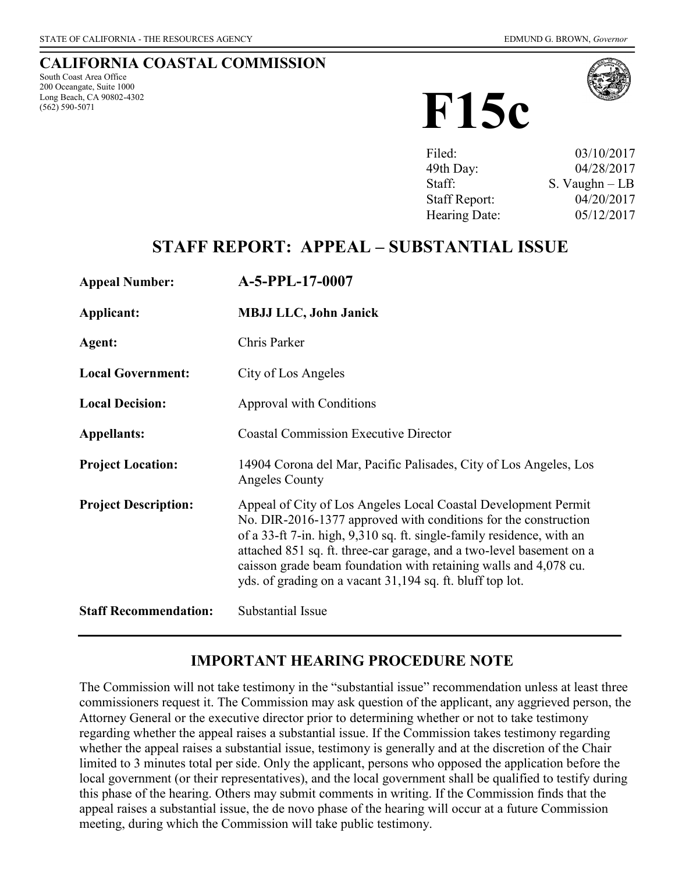### **CALIFORNIA COASTAL COMMISSION**

South Coast Area Office 200 Oceangate, Suite 1000 Long Beach, CA 90802-4302 (562) 590-5071



| 03/10/2017      |
|-----------------|
| 04/28/2017      |
| S. Vaughn $-LB$ |
| 04/20/2017      |
| 05/12/2017      |
|                 |

# **STAFF REPORT: APPEAL – SUBSTANTIAL ISSUE**

| <b>Appeal Number:</b>        | A-5-PPL-17-0007                                                                                                                                                                                                                                                                                                                                                                                                     |
|------------------------------|---------------------------------------------------------------------------------------------------------------------------------------------------------------------------------------------------------------------------------------------------------------------------------------------------------------------------------------------------------------------------------------------------------------------|
| Applicant:                   | <b>MBJJ LLC, John Janick</b>                                                                                                                                                                                                                                                                                                                                                                                        |
| Agent:                       | Chris Parker                                                                                                                                                                                                                                                                                                                                                                                                        |
| <b>Local Government:</b>     | City of Los Angeles                                                                                                                                                                                                                                                                                                                                                                                                 |
| <b>Local Decision:</b>       | Approval with Conditions                                                                                                                                                                                                                                                                                                                                                                                            |
| <b>Appellants:</b>           | <b>Coastal Commission Executive Director</b>                                                                                                                                                                                                                                                                                                                                                                        |
| <b>Project Location:</b>     | 14904 Corona del Mar, Pacific Palisades, City of Los Angeles, Los<br>Angeles County                                                                                                                                                                                                                                                                                                                                 |
| <b>Project Description:</b>  | Appeal of City of Los Angeles Local Coastal Development Permit<br>No. DIR-2016-1377 approved with conditions for the construction<br>of a 33-ft 7-in. high, 9,310 sq. ft. single-family residence, with an<br>attached 851 sq. ft. three-car garage, and a two-level basement on a<br>caisson grade beam foundation with retaining walls and 4,078 cu.<br>yds. of grading on a vacant 31,194 sq. ft. bluff top lot. |
| <b>Staff Recommendation:</b> | Substantial Issue                                                                                                                                                                                                                                                                                                                                                                                                   |

### **IMPORTANT HEARING PROCEDURE NOTE**

The Commission will not take testimony in the "substantial issue" recommendation unless at least three commissioners request it. The Commission may ask question of the applicant, any aggrieved person, the Attorney General or the executive director prior to determining whether or not to take testimony regarding whether the appeal raises a substantial issue. If the Commission takes testimony regarding whether the appeal raises a substantial issue, testimony is generally and at the discretion of the Chair limited to 3 minutes total per side. Only the applicant, persons who opposed the application before the local government (or their representatives), and the local government shall be qualified to testify during this phase of the hearing. Others may submit comments in writing. If the Commission finds that the appeal raises a substantial issue, the de novo phase of the hearing will occur at a future Commission meeting, during which the Commission will take public testimony.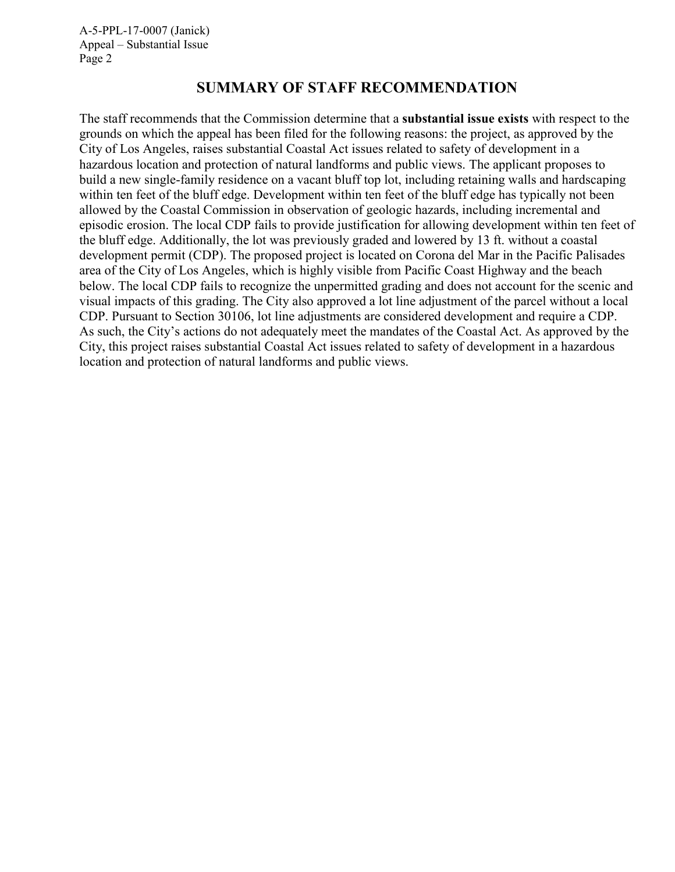### **SUMMARY OF STAFF RECOMMENDATION**

The staff recommends that the Commission determine that a **substantial issue exists** with respect to the grounds on which the appeal has been filed for the following reasons: the project, as approved by the City of Los Angeles, raises substantial Coastal Act issues related to safety of development in a hazardous location and protection of natural landforms and public views. The applicant proposes to build a new single-family residence on a vacant bluff top lot, including retaining walls and hardscaping within ten feet of the bluff edge. Development within ten feet of the bluff edge has typically not been allowed by the Coastal Commission in observation of geologic hazards, including incremental and episodic erosion. The local CDP fails to provide justification for allowing development within ten feet of the bluff edge. Additionally, the lot was previously graded and lowered by 13 ft. without a coastal development permit (CDP). The proposed project is located on Corona del Mar in the Pacific Palisades area of the City of Los Angeles, which is highly visible from Pacific Coast Highway and the beach below. The local CDP fails to recognize the unpermitted grading and does not account for the scenic and visual impacts of this grading. The City also approved a lot line adjustment of the parcel without a local CDP. Pursuant to Section 30106, lot line adjustments are considered development and require a CDP. As such, the City's actions do not adequately meet the mandates of the Coastal Act. As approved by the City, this project raises substantial Coastal Act issues related to safety of development in a hazardous location and protection of natural landforms and public views.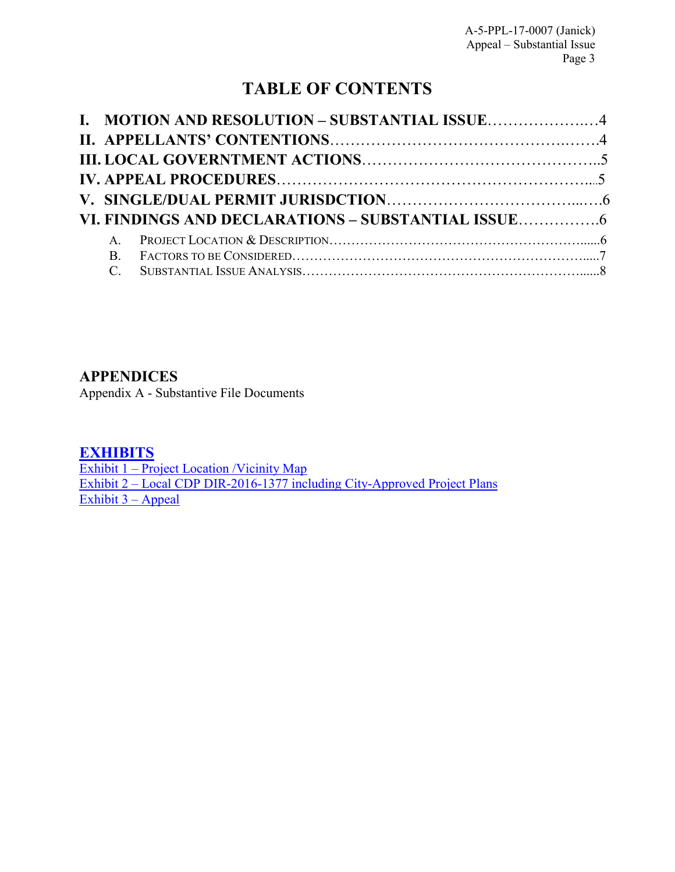# **TABLE OF CONTENTS**

| I. MOTION AND RESOLUTION - SUBSTANTIAL ISSUE4 |  |
|-----------------------------------------------|--|
|                                               |  |
|                                               |  |
|                                               |  |
|                                               |  |
|                                               |  |
|                                               |  |
|                                               |  |
|                                               |  |

### **[APPENDICES](#page-11-0)**

[Appendix A - Substantive File Documents](#page-11-0) 

### **[EXHIBITS](https://documents.coastal.ca.gov/reports/5/F15c/F15c-5-2017-exhibits.pdf)**

Exhibit 1 – Project Location / Vicinity Map Exhibit 2 – Local CDP DIR-2016-1377 [including City-Approved Project Plans](https://documents.coastal.ca.gov/reports/5/F15c/F15c-5-2017-exhibits.pdf)  [Exhibit 3 –](https://documents.coastal.ca.gov/reports/5/F15c/F15c-5-2017-exhibits.pdf) Appeal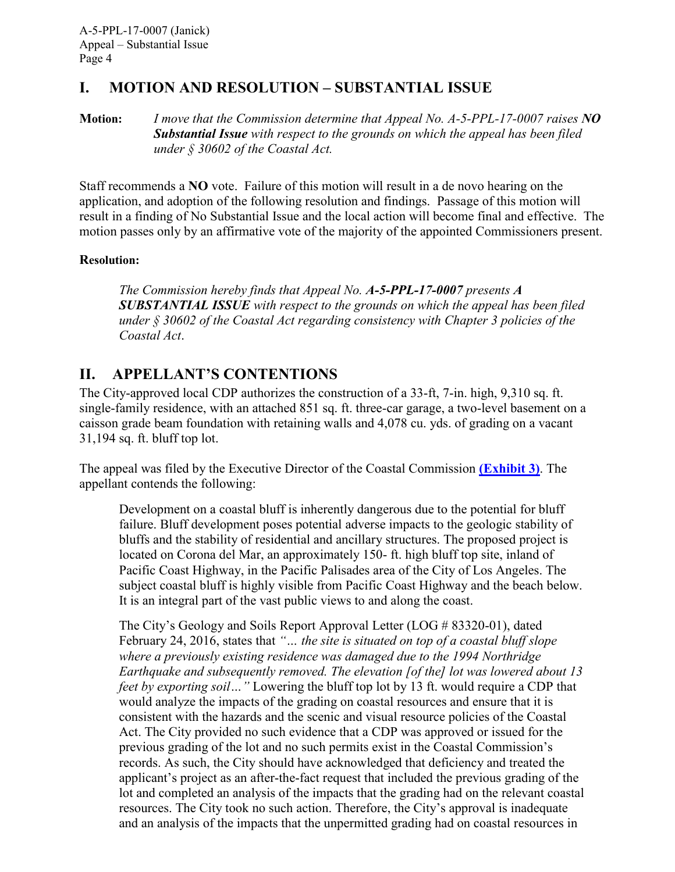## <span id="page-3-0"></span>**I. MOTION AND RESOLUTION – SUBSTANTIAL ISSUE**

**Motion:** *I move that the Commission determine that Appeal No. A-5-PPL-17-0007 raises NO Substantial Issue with respect to the grounds on which the appeal has been filed under § 30602 of the Coastal Act.*

Staff recommends a **NO** vote. Failure of this motion will result in a de novo hearing on the application, and adoption of the following resolution and findings. Passage of this motion will result in a finding of No Substantial Issue and the local action will become final and effective. The motion passes only by an affirmative vote of the majority of the appointed Commissioners present.

#### **Resolution:**

*The Commission hereby finds that Appeal No. A-5-PPL-17-0007 presents A SUBSTANTIAL ISSUE with respect to the grounds on which the appeal has been filed under § 30602 of the Coastal Act regarding consistency with Chapter 3 policies of the Coastal Act*.

## <span id="page-3-1"></span>**II. APPELLANT'S CONTENTIONS**

The City-approved local CDP authorizes the construction of a 33-ft, 7-in. high, 9,310 sq. ft. single-family residence, with an attached 851 sq. ft. three-car garage, a two-level basement on a caisson grade beam foundation with retaining walls and 4,078 cu. yds. of grading on a vacant 31,194 sq. ft. bluff top lot.

The appeal was filed by the Executive Director of the Coastal Commission **[\(Exhibit 3\)](https://documents.coastal.ca.gov/reports/2017/5/F15c/F15c-5-2017-exhibits.pdf)**. The appellant contends the following:

Development on a coastal bluff is inherently dangerous due to the potential for bluff failure. Bluff development poses potential adverse impacts to the geologic stability of bluffs and the stability of residential and ancillary structures. The proposed project is located on Corona del Mar, an approximately 150- ft. high bluff top site, inland of Pacific Coast Highway, in the Pacific Palisades area of the City of Los Angeles. The subject coastal bluff is highly visible from Pacific Coast Highway and the beach below. It is an integral part of the vast public views to and along the coast.

The City's Geology and Soils Report Approval Letter (LOG # 83320-01), dated February 24, 2016, states that *"… the site is situated on top of a coastal bluff slope where a previously existing residence was damaged due to the 1994 Northridge Earthquake and subsequently removed. The elevation [of the] lot was lowered about 13 feet by exporting soil...* " Lowering the bluff top lot by 13 ft. would require a CDP that would analyze the impacts of the grading on coastal resources and ensure that it is consistent with the hazards and the scenic and visual resource policies of the Coastal Act. The City provided no such evidence that a CDP was approved or issued for the previous grading of the lot and no such permits exist in the Coastal Commission's records. As such, the City should have acknowledged that deficiency and treated the applicant's project as an after-the-fact request that included the previous grading of the lot and completed an analysis of the impacts that the grading had on the relevant coastal resources. The City took no such action. Therefore, the City's approval is inadequate and an analysis of the impacts that the unpermitted grading had on coastal resources in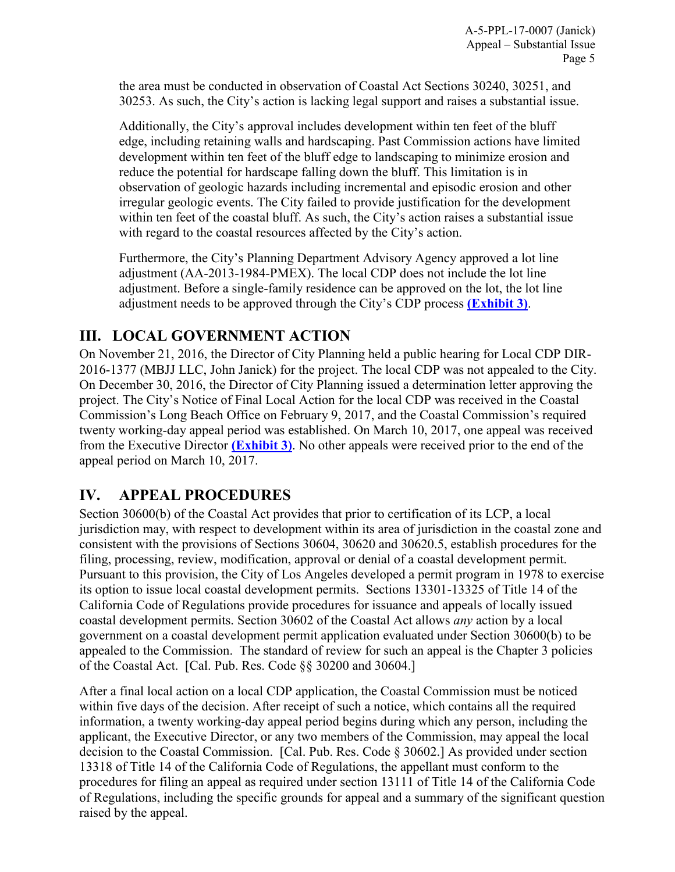the area must be conducted in observation of Coastal Act Sections 30240, 30251, and 30253. As such, the City's action is lacking legal support and raises a substantial issue.

Additionally, the City's approval includes development within ten feet of the bluff edge, including retaining walls and hardscaping. Past Commission actions have limited development within ten feet of the bluff edge to landscaping to minimize erosion and reduce the potential for hardscape falling down the bluff. This limitation is in observation of geologic hazards including incremental and episodic erosion and other irregular geologic events. The City failed to provide justification for the development within ten feet of the coastal bluff. As such, the City's action raises a substantial issue with regard to the coastal resources affected by the City's action.

Furthermore, the City's Planning Department Advisory Agency approved a lot line adjustment (AA-2013-1984-PMEX). The local CDP does not include the lot line adjustment. Before a single-family residence can be approved on the lot, the lot line adjustment needs to be approved through the City's CDP process **[\(Exhibit 3\)](https://documents.coastal.ca.gov/reports/2017/5/F15c/F15c-5-2017-exhibits.pdf)**.

## <span id="page-4-0"></span>**III. LOCAL GOVERNMENT ACTION**

On November 21, 2016, the Director of City Planning held a public hearing for Local CDP DIR-2016-1377 (MBJJ LLC, John Janick) for the project. The local CDP was not appealed to the City. On December 30, 2016, the Director of City Planning issued a determination letter approving the project. The City's Notice of Final Local Action for the local CDP was received in the Coastal Commission's Long Beach Office on February 9, 2017, and the Coastal Commission's required twenty working-day appeal period was established. On March 10, 2017, one appeal was received from the Executive Director **[\(Exhibit 3\)](https://documents.coastal.ca.gov/reports/2017/5/F15c/F15c-5-2017-exhibits.pdf)**. No other appeals were received prior to the end of the appeal period on March 10, 2017.

# <span id="page-4-1"></span>**IV. APPEAL PROCEDURES**

Section 30600(b) of the Coastal Act provides that prior to certification of its LCP, a local jurisdiction may, with respect to development within its area of jurisdiction in the coastal zone and consistent with the provisions of Sections 30604, 30620 and 30620.5, establish procedures for the filing, processing, review, modification, approval or denial of a coastal development permit. Pursuant to this provision, the City of Los Angeles developed a permit program in 1978 to exercise its option to issue local coastal development permits. Sections 13301-13325 of Title 14 of the California Code of Regulations provide procedures for issuance and appeals of locally issued coastal development permits. Section 30602 of the Coastal Act allows *any* action by a local government on a coastal development permit application evaluated under Section 30600(b) to be appealed to the Commission. The standard of review for such an appeal is the Chapter 3 policies of the Coastal Act. [Cal. Pub. Res. Code §§ 30200 and 30604.]

After a final local action on a local CDP application, the Coastal Commission must be noticed within five days of the decision. After receipt of such a notice, which contains all the required information, a twenty working-day appeal period begins during which any person, including the applicant, the Executive Director, or any two members of the Commission, may appeal the local decision to the Coastal Commission. [Cal. Pub. Res. Code § 30602.] As provided under section 13318 of Title 14 of the California Code of Regulations, the appellant must conform to the procedures for filing an appeal as required under section 13111 of Title 14 of the California Code of Regulations, including the specific grounds for appeal and a summary of the significant question raised by the appeal.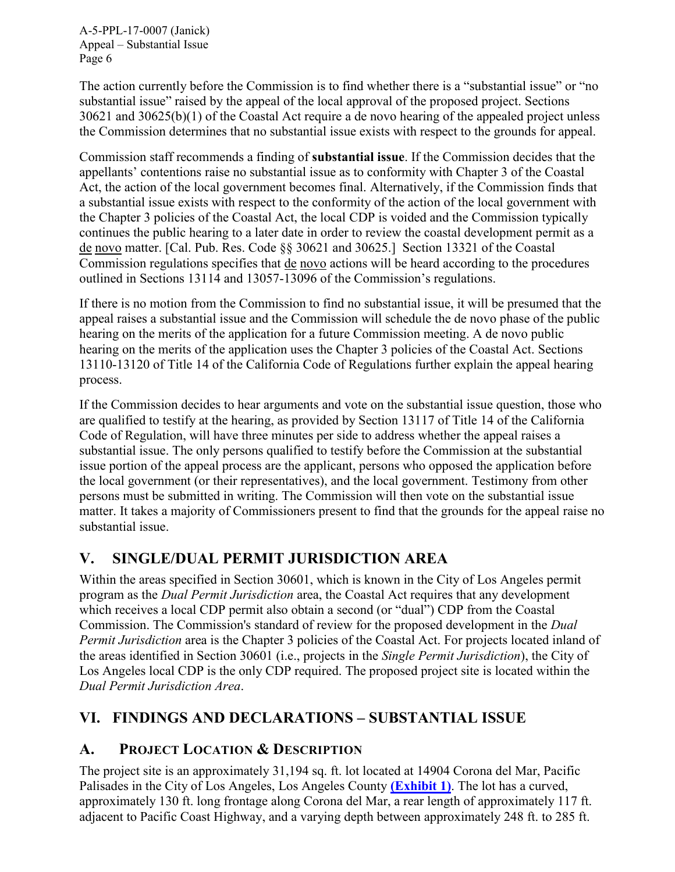The action currently before the Commission is to find whether there is a "substantial issue" or "no substantial issue" raised by the appeal of the local approval of the proposed project. Sections 30621 and 30625(b)(1) of the Coastal Act require a de novo hearing of the appealed project unless the Commission determines that no substantial issue exists with respect to the grounds for appeal.

Commission staff recommends a finding of **substantial issue**. If the Commission decides that the appellants' contentions raise no substantial issue as to conformity with Chapter 3 of the Coastal Act, the action of the local government becomes final. Alternatively, if the Commission finds that a substantial issue exists with respect to the conformity of the action of the local government with the Chapter 3 policies of the Coastal Act, the local CDP is voided and the Commission typically continues the public hearing to a later date in order to review the coastal development permit as a de novo matter. [Cal. Pub. Res. Code §§ 30621 and 30625.] Section 13321 of the Coastal Commission regulations specifies that de novo actions will be heard according to the procedures outlined in Sections 13114 and 13057-13096 of the Commission's regulations.

If there is no motion from the Commission to find no substantial issue, it will be presumed that the appeal raises a substantial issue and the Commission will schedule the de novo phase of the public hearing on the merits of the application for a future Commission meeting. A de novo public hearing on the merits of the application uses the Chapter 3 policies of the Coastal Act. Sections 13110-13120 of Title 14 of the California Code of Regulations further explain the appeal hearing process.

If the Commission decides to hear arguments and vote on the substantial issue question, those who are qualified to testify at the hearing, as provided by Section 13117 of Title 14 of the California Code of Regulation, will have three minutes per side to address whether the appeal raises a substantial issue. The only persons qualified to testify before the Commission at the substantial issue portion of the appeal process are the applicant, persons who opposed the application before the local government (or their representatives), and the local government. Testimony from other persons must be submitted in writing. The Commission will then vote on the substantial issue matter. It takes a majority of Commissioners present to find that the grounds for the appeal raise no substantial issue.

# <span id="page-5-0"></span>**V. SINGLE/DUAL PERMIT JURISDICTION AREA**

Within the areas specified in Section 30601, which is known in the City of Los Angeles permit program as the *Dual Permit Jurisdiction* area, the Coastal Act requires that any development which receives a local CDP permit also obtain a second (or "dual") CDP from the Coastal Commission. The Commission's standard of review for the proposed development in the *Dual Permit Jurisdiction* area is the Chapter 3 policies of the Coastal Act. For projects located inland of the areas identified in Section 30601 (i.e., projects in the *Single Permit Jurisdiction*), the City of Los Angeles local CDP is the only CDP required. The proposed project site is located within the *Dual Permit Jurisdiction Area*.

# <span id="page-5-1"></span>**VI. FINDINGS AND DECLARATIONS – SUBSTANTIAL ISSUE**

# <span id="page-5-2"></span>**A. PROJECT LOCATION & DESCRIPTION**

The project site is an approximately 31,194 sq. ft. lot located at 14904 Corona del Mar, Pacific Palisades in the City of Los Angeles, Los Angeles County **[\(Exhibit 1\)](https://documents.coastal.ca.gov/reports/2017/5/F15c/F15c-5-2017-exhibits.pdf)**. The lot has a curved, approximately 130 ft. long frontage along Corona del Mar, a rear length of approximately 117 ft. adjacent to Pacific Coast Highway, and a varying depth between approximately 248 ft. to 285 ft.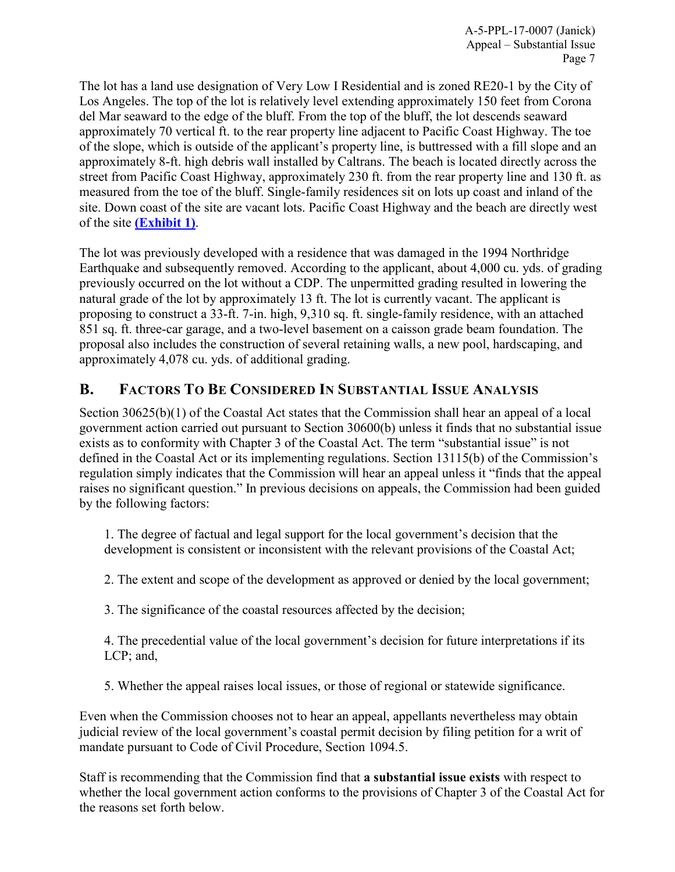The lot has a land use designation of Very Low I Residential and is zoned RE20-1 by the City of Los Angeles. The top of the lot is relatively level extending approximately 150 feet from Corona del Mar seaward to the edge of the bluff. From the top of the bluff, the lot descends seaward approximately 70 vertical ft. to the rear property line adjacent to Pacific Coast Highway. The toe of the slope, which is outside of the applicant's property line, is buttressed with a fill slope and an approximately 8-ft. high debris wall installed by Caltrans. The beach is located directly across the street from Pacific Coast Highway, approximately 230 ft. from the rear property line and 130 ft. as measured from the toe of the bluff. Single-family residences sit on lots up coast and inland of the site. Down coast of the site are vacant lots. Pacific Coast Highway and the beach are directly west of the site **[\(Exhibit 1\)](https://documents.coastal.ca.gov/reports/2017/5/F15c/F15c-5-2017-exhibits.pdf)**.

The lot was previously developed with a residence that was damaged in the 1994 Northridge Earthquake and subsequently removed. According to the applicant, about 4,000 cu. yds. of grading previously occurred on the lot without a CDP. The unpermitted grading resulted in lowering the natural grade of the lot by approximately 13 ft. The lot is currently vacant. The applicant is proposing to construct a 33-ft. 7-in. high, 9,310 sq. ft. single-family residence, with an attached 851 sq. ft. three-car garage, and a two-level basement on a caisson grade beam foundation. The proposal also includes the construction of several retaining walls, a new pool, hardscaping, and approximately 4,078 cu. yds. of additional grading.

## <span id="page-6-0"></span>**B. FACTORS TO BE CONSIDERED IN SUBSTANTIAL ISSUE ANALYSIS**

Section 30625(b)(1) of the Coastal Act states that the Commission shall hear an appeal of a local government action carried out pursuant to Section 30600(b) unless it finds that no substantial issue exists as to conformity with Chapter 3 of the Coastal Act. The term "substantial issue" is not defined in the Coastal Act or its implementing regulations. Section 13115(b) of the Commission's regulation simply indicates that the Commission will hear an appeal unless it "finds that the appeal raises no significant question." In previous decisions on appeals, the Commission had been guided by the following factors:

1. The degree of factual and legal support for the local government's decision that the development is consistent or inconsistent with the relevant provisions of the Coastal Act;

2. The extent and scope of the development as approved or denied by the local government;

3. The significance of the coastal resources affected by the decision;

4. The precedential value of the local government's decision for future interpretations if its LCP; and,

5. Whether the appeal raises local issues, or those of regional or statewide significance.

Even when the Commission chooses not to hear an appeal, appellants nevertheless may obtain judicial review of the local government's coastal permit decision by filing petition for a writ of mandate pursuant to Code of Civil Procedure, Section 1094.5.

Staff is recommending that the Commission find that **a substantial issue exists** with respect to whether the local government action conforms to the provisions of Chapter 3 of the Coastal Act for the reasons set forth below.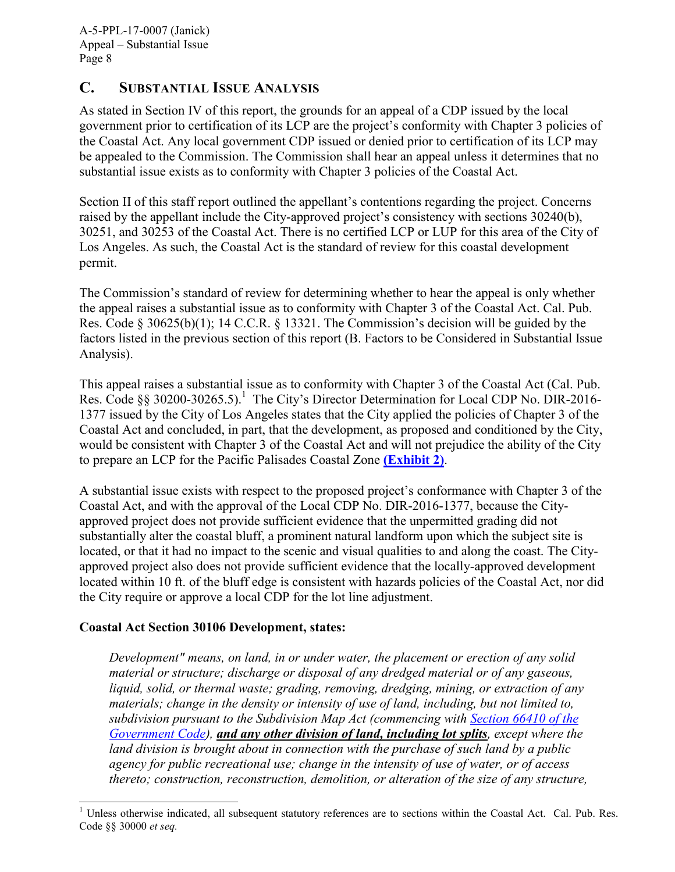#### <span id="page-7-0"></span>**C. SUBSTANTIAL ISSUE ANALYSIS**

As stated in Section IV of this report, the grounds for an appeal of a CDP issued by the local government prior to certification of its LCP are the project's conformity with Chapter 3 policies of the Coastal Act. Any local government CDP issued or denied prior to certification of its LCP may be appealed to the Commission. The Commission shall hear an appeal unless it determines that no substantial issue exists as to conformity with Chapter 3 policies of the Coastal Act.

Section II of this staff report outlined the appellant's contentions regarding the project. Concerns raised by the appellant include the City-approved project's consistency with sections 30240(b), 30251, and 30253 of the Coastal Act. There is no certified LCP or LUP for this area of the City of Los Angeles. As such, the Coastal Act is the standard of review for this coastal development permit.

The Commission's standard of review for determining whether to hear the appeal is only whether the appeal raises a substantial issue as to conformity with Chapter 3 of the Coastal Act. Cal. Pub. Res. Code § 30625(b)(1); 14 C.C.R. § 13321. The Commission's decision will be guided by the factors listed in the previous section of this report (B. Factors to be Considered in Substantial Issue Analysis).

This appeal raises a substantial issue as to conformity with Chapter 3 of the Coastal Act (Cal. Pub. Res. Code §§ 30200-30265.5).<sup>1</sup> The City's Director Determination for Local CDP No. DIR-2016-1377 issued by the City of Los Angeles states that the City applied the policies of Chapter 3 of the Coastal Act and concluded, in part, that the development, as proposed and conditioned by the City, would be consistent with Chapter 3 of the Coastal Act and will not prejudice the ability of the City to prepare an LCP for the Pacific Palisades Coastal Zone **[\(Exhibit 2\)](https://documents.coastal.ca.gov/reports/2017/5/F15c/F15c-5-2017-exhibits.pdf)**.

A substantial issue exists with respect to the proposed project's conformance with Chapter 3 of the Coastal Act, and with the approval of the Local CDP No. DIR-2016-1377, because the Cityapproved project does not provide sufficient evidence that the unpermitted grading did not substantially alter the coastal bluff, a prominent natural landform upon which the subject site is located, or that it had no impact to the scenic and visual qualities to and along the coast. The Cityapproved project also does not provide sufficient evidence that the locally-approved development located within 10 ft. of the bluff edge is consistent with hazards policies of the Coastal Act, nor did the City require or approve a local CDP for the lot line adjustment.

#### **Coastal Act Section 30106 Development, states:**

*Development" means, on land, in or under water, the placement or erection of any solid material or structure; discharge or disposal of any dredged material or of any gaseous, liquid, solid, or thermal waste; grading, removing, dredging, mining, or extraction of any materials; change in the density or intensity of use of land, including, but not limited to, subdivision pursuant to the Subdivision Map Act (commencing with [Section 66410 of the](http://www.leginfo.ca.gov/calaw.html)  [Government Code\)](http://www.leginfo.ca.gov/calaw.html), and any other division of land, including lot splits, except where the land division is brought about in connection with the purchase of such land by a public agency for public recreational use; change in the intensity of use of water, or of access thereto; construction, reconstruction, demolition, or alteration of the size of any structure,* 

 $\overline{a}$  $1$  Unless otherwise indicated, all subsequent statutory references are to sections within the Coastal Act. Cal. Pub. Res. Code §§ 30000 *et seq.*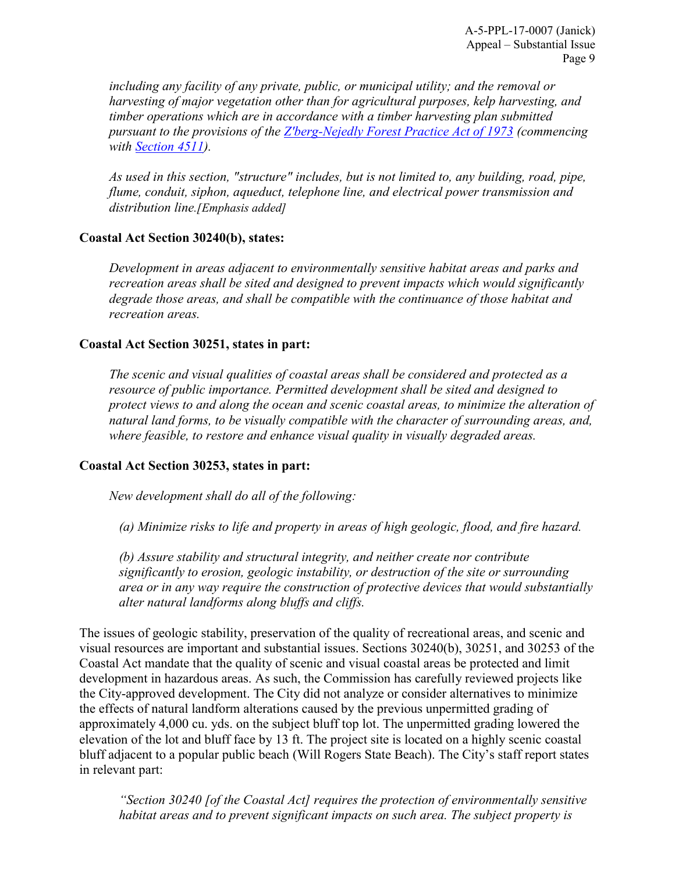*including any facility of any private, public, or municipal utility; and the removal or harvesting of major vegetation other than for agricultural purposes, kelp harvesting, and timber operations which are in accordance with a timber harvesting plan submitted pursuant to the provisions of the [Z'berg-Nejedly Forest Practice Act of 1973](http://www.leginfo.ca.gov/calaw.html) (commencing with [Section 4511\)](http://www.leginfo.ca.gov/calaw.html).*

*As used in this section, "structure" includes, but is not limited to, any building, road, pipe, flume, conduit, siphon, aqueduct, telephone line, and electrical power transmission and distribution line.[Emphasis added]* 

#### **Coastal Act Section 30240(b), states:**

*Development in areas adjacent to environmentally sensitive habitat areas and parks and recreation areas shall be sited and designed to prevent impacts which would significantly degrade those areas, and shall be compatible with the continuance of those habitat and recreation areas.* 

#### **Coastal Act Section 30251, states in part:**

*The scenic and visual qualities of coastal areas shall be considered and protected as a resource of public importance. Permitted development shall be sited and designed to protect views to and along the ocean and scenic coastal areas, to minimize the alteration of natural land forms, to be visually compatible with the character of surrounding areas, and, where feasible, to restore and enhance visual quality in visually degraded areas.* 

#### **Coastal Act Section 30253, states in part:**

*New development shall do all of the following:* 

 *(a) Minimize risks to life and property in areas of high geologic, flood, and fire hazard.* 

*(b) Assure stability and structural integrity, and neither create nor contribute significantly to erosion, geologic instability, or destruction of the site or surrounding area or in any way require the construction of protective devices that would substantially alter natural landforms along bluffs and cliffs.* 

The issues of geologic stability, preservation of the quality of recreational areas, and scenic and visual resources are important and substantial issues. Sections 30240(b), 30251, and 30253 of the Coastal Act mandate that the quality of scenic and visual coastal areas be protected and limit development in hazardous areas. As such, the Commission has carefully reviewed projects like the City-approved development. The City did not analyze or consider alternatives to minimize the effects of natural landform alterations caused by the previous unpermitted grading of approximately 4,000 cu. yds. on the subject bluff top lot. The unpermitted grading lowered the elevation of the lot and bluff face by 13 ft. The project site is located on a highly scenic coastal bluff adjacent to a popular public beach (Will Rogers State Beach). The City's staff report states in relevant part:

*"Section 30240 [of the Coastal Act] requires the protection of environmentally sensitive habitat areas and to prevent significant impacts on such area. The subject property is*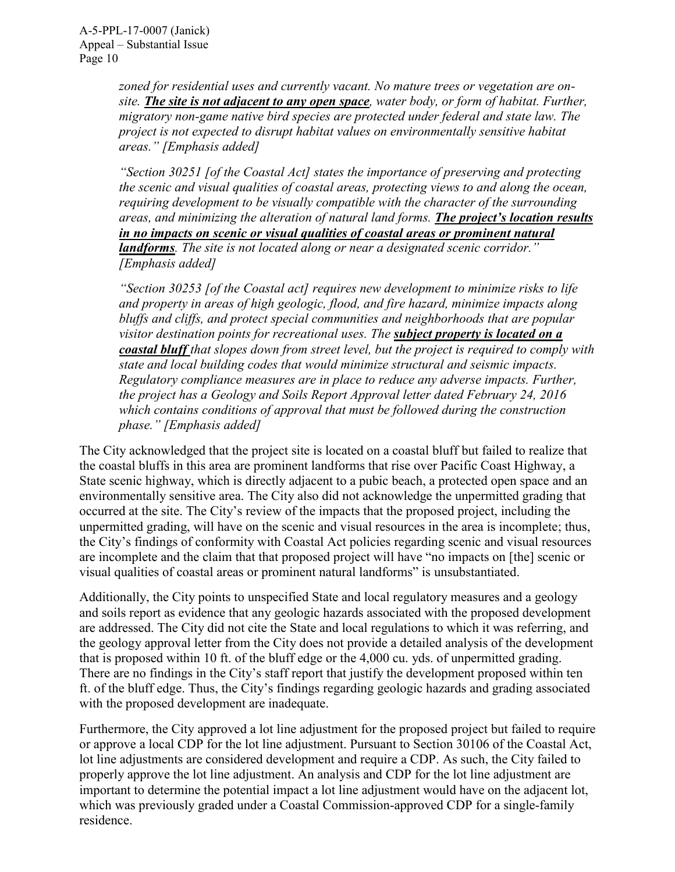> *zoned for residential uses and currently vacant. No mature trees or vegetation are onsite. The site is not adjacent to any open space, water body, or form of habitat. Further, migratory non-game native bird species are protected under federal and state law. The project is not expected to disrupt habitat values on environmentally sensitive habitat areas." [Emphasis added]*

*"Section 30251 [of the Coastal Act] states the importance of preserving and protecting the scenic and visual qualities of coastal areas, protecting views to and along the ocean, requiring development to be visually compatible with the character of the surrounding areas, and minimizing the alteration of natural land forms. The project's location results in no impacts on scenic or visual qualities of coastal areas or prominent natural landforms. The site is not located along or near a designated scenic corridor." [Emphasis added]* 

*"Section 30253 [of the Coastal act] requires new development to minimize risks to life and property in areas of high geologic, flood, and fire hazard, minimize impacts along bluffs and cliffs, and protect special communities and neighborhoods that are popular visitor destination points for recreational uses. The subject property is located on a coastal bluff that slopes down from street level, but the project is required to comply with state and local building codes that would minimize structural and seismic impacts. Regulatory compliance measures are in place to reduce any adverse impacts. Further, the project has a Geology and Soils Report Approval letter dated February 24, 2016 which contains conditions of approval that must be followed during the construction phase." [Emphasis added]*

The City acknowledged that the project site is located on a coastal bluff but failed to realize that the coastal bluffs in this area are prominent landforms that rise over Pacific Coast Highway, a State scenic highway, which is directly adjacent to a pubic beach, a protected open space and an environmentally sensitive area. The City also did not acknowledge the unpermitted grading that occurred at the site. The City's review of the impacts that the proposed project, including the unpermitted grading, will have on the scenic and visual resources in the area is incomplete; thus, the City's findings of conformity with Coastal Act policies regarding scenic and visual resources are incomplete and the claim that that proposed project will have "no impacts on [the] scenic or visual qualities of coastal areas or prominent natural landforms" is unsubstantiated.

Additionally, the City points to unspecified State and local regulatory measures and a geology and soils report as evidence that any geologic hazards associated with the proposed development are addressed. The City did not cite the State and local regulations to which it was referring, and the geology approval letter from the City does not provide a detailed analysis of the development that is proposed within 10 ft. of the bluff edge or the 4,000 cu. yds. of unpermitted grading. There are no findings in the City's staff report that justify the development proposed within ten ft. of the bluff edge. Thus, the City's findings regarding geologic hazards and grading associated with the proposed development are inadequate.

Furthermore, the City approved a lot line adjustment for the proposed project but failed to require or approve a local CDP for the lot line adjustment. Pursuant to Section 30106 of the Coastal Act, lot line adjustments are considered development and require a CDP. As such, the City failed to properly approve the lot line adjustment. An analysis and CDP for the lot line adjustment are important to determine the potential impact a lot line adjustment would have on the adjacent lot, which was previously graded under a Coastal Commission-approved CDP for a single-family residence.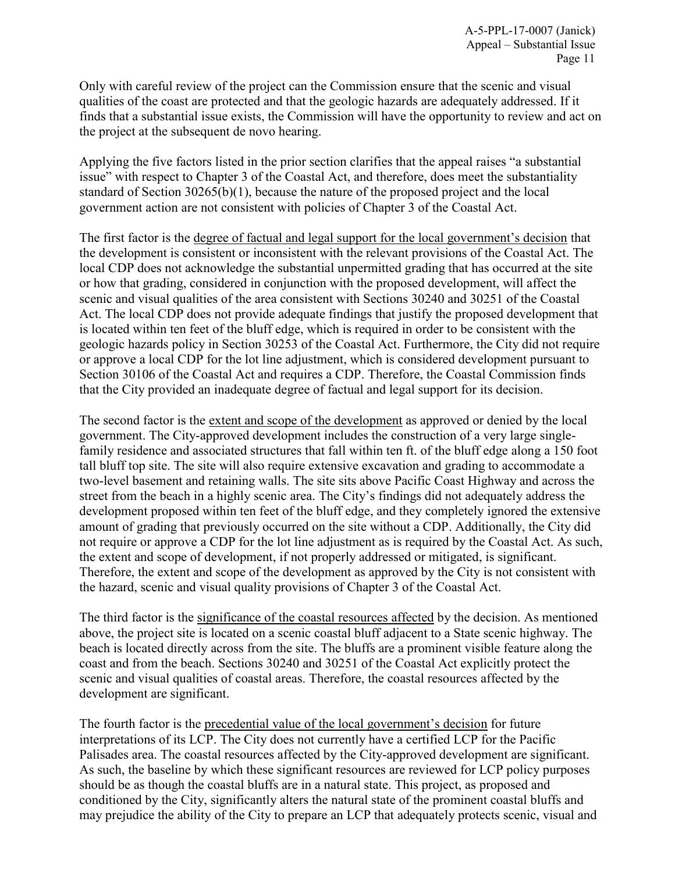Only with careful review of the project can the Commission ensure that the scenic and visual qualities of the coast are protected and that the geologic hazards are adequately addressed. If it finds that a substantial issue exists, the Commission will have the opportunity to review and act on the project at the subsequent de novo hearing.

Applying the five factors listed in the prior section clarifies that the appeal raises "a substantial issue" with respect to Chapter 3 of the Coastal Act, and therefore, does meet the substantiality standard of Section 30265(b)(1), because the nature of the proposed project and the local government action are not consistent with policies of Chapter 3 of the Coastal Act.

The first factor is the degree of factual and legal support for the local government's decision that the development is consistent or inconsistent with the relevant provisions of the Coastal Act. The local CDP does not acknowledge the substantial unpermitted grading that has occurred at the site or how that grading, considered in conjunction with the proposed development, will affect the scenic and visual qualities of the area consistent with Sections 30240 and 30251 of the Coastal Act. The local CDP does not provide adequate findings that justify the proposed development that is located within ten feet of the bluff edge, which is required in order to be consistent with the geologic hazards policy in Section 30253 of the Coastal Act. Furthermore, the City did not require or approve a local CDP for the lot line adjustment, which is considered development pursuant to Section 30106 of the Coastal Act and requires a CDP. Therefore, the Coastal Commission finds that the City provided an inadequate degree of factual and legal support for its decision.

The second factor is the extent and scope of the development as approved or denied by the local government. The City-approved development includes the construction of a very large singlefamily residence and associated structures that fall within ten ft. of the bluff edge along a 150 foot tall bluff top site. The site will also require extensive excavation and grading to accommodate a two-level basement and retaining walls. The site sits above Pacific Coast Highway and across the street from the beach in a highly scenic area. The City's findings did not adequately address the development proposed within ten feet of the bluff edge, and they completely ignored the extensive amount of grading that previously occurred on the site without a CDP. Additionally, the City did not require or approve a CDP for the lot line adjustment as is required by the Coastal Act. As such, the extent and scope of development, if not properly addressed or mitigated, is significant. Therefore, the extent and scope of the development as approved by the City is not consistent with the hazard, scenic and visual quality provisions of Chapter 3 of the Coastal Act.

The third factor is the significance of the coastal resources affected by the decision. As mentioned above, the project site is located on a scenic coastal bluff adjacent to a State scenic highway. The beach is located directly across from the site. The bluffs are a prominent visible feature along the coast and from the beach. Sections 30240 and 30251 of the Coastal Act explicitly protect the scenic and visual qualities of coastal areas. Therefore, the coastal resources affected by the development are significant.

The fourth factor is the precedential value of the local government's decision for future interpretations of its LCP. The City does not currently have a certified LCP for the Pacific Palisades area. The coastal resources affected by the City-approved development are significant. As such, the baseline by which these significant resources are reviewed for LCP policy purposes should be as though the coastal bluffs are in a natural state. This project, as proposed and conditioned by the City, significantly alters the natural state of the prominent coastal bluffs and may prejudice the ability of the City to prepare an LCP that adequately protects scenic, visual and